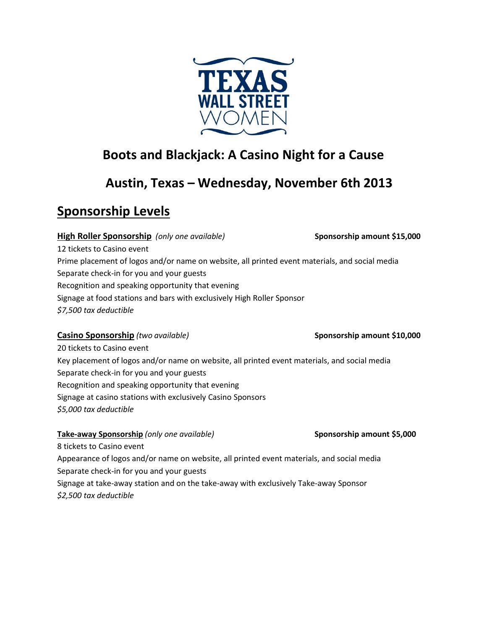

# Boots and Blackjack: A Casino Night for a Cause

## Austin, Texas – Wednesday, November 6th 2013

## Sponsorship Levels

High Roller Sponsorship (only one available) Sponsorship amount \$15,000

12 tickets to Casino event Prime placement of logos and/or name on website, all printed event materials, and social media Separate check-in for you and your guests Recognition and speaking opportunity that evening Signage at food stations and bars with exclusively High Roller Sponsor \$7,500 tax deductible

### Casino Sponsorship (two available) Sponsorship amount \$10,000

20 tickets to Casino event Key placement of logos and/or name on website, all printed event materials, and social media Separate check-in for you and your guests Recognition and speaking opportunity that evening Signage at casino stations with exclusively Casino Sponsors \$5,000 tax deductible

Take-away Sponsorship (only one available) Sponsorship amount \$5,000

8 tickets to Casino event Appearance of logos and/or name on website, all printed event materials, and social media Separate check-in for you and your guests Signage at take-away station and on the take-away with exclusively Take-away Sponsor \$2,500 tax deductible